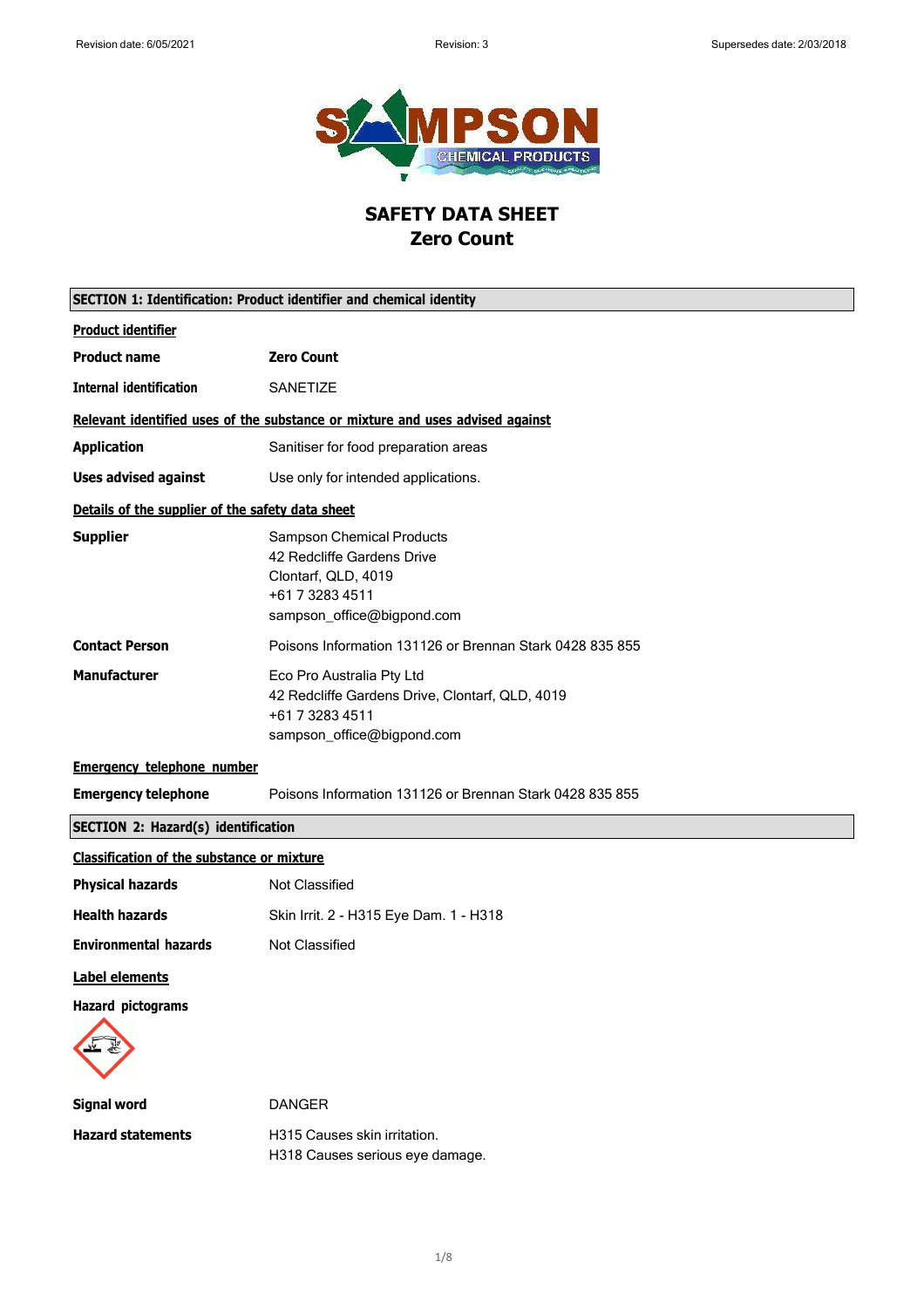

# **SAFETY DATA SHEET Zero Count**

| <b>SECTION 1: Identification: Product identifier and chemical identity</b> |                                                                                                                                        |
|----------------------------------------------------------------------------|----------------------------------------------------------------------------------------------------------------------------------------|
| <b>Product identifier</b>                                                  |                                                                                                                                        |
| <b>Product name</b>                                                        | <b>Zero Count</b>                                                                                                                      |
| <b>Internal identification</b>                                             | SANETIZE                                                                                                                               |
|                                                                            | Relevant identified uses of the substance or mixture and uses advised against                                                          |
| <b>Application</b>                                                         | Sanitiser for food preparation areas                                                                                                   |
| <b>Uses advised against</b>                                                | Use only for intended applications.                                                                                                    |
| Details of the supplier of the safety data sheet                           |                                                                                                                                        |
| <b>Supplier</b>                                                            | <b>Sampson Chemical Products</b><br>42 Redcliffe Gardens Drive<br>Clontarf, QLD, 4019<br>+61 7 3283 4511<br>sampson_office@bigpond.com |
| <b>Contact Person</b>                                                      | Poisons Information 131126 or Brennan Stark 0428 835 855                                                                               |
| <b>Manufacturer</b>                                                        | Eco Pro Australia Pty Ltd<br>42 Redcliffe Gardens Drive, Clontarf, QLD, 4019<br>+61 7 3283 4511<br>sampson_office@bigpond.com          |
| <b>Emergency telephone number</b>                                          |                                                                                                                                        |
| <b>Emergency telephone</b>                                                 | Poisons Information 131126 or Brennan Stark 0428 835 855                                                                               |
| <b>SECTION 2: Hazard(s) identification</b>                                 |                                                                                                                                        |
| <b>Classification of the substance or mixture</b>                          |                                                                                                                                        |
| <b>Physical hazards</b>                                                    | Not Classified                                                                                                                         |
| <b>Health hazards</b>                                                      | Skin Irrit. 2 - H315 Eye Dam. 1 - H318                                                                                                 |
| <b>Environmental hazards</b>                                               | Not Classified                                                                                                                         |
| <b>Label elements</b>                                                      |                                                                                                                                        |
| <b>Hazard pictograms</b>                                                   |                                                                                                                                        |
| <b>Signal word</b>                                                         | <b>DANGER</b>                                                                                                                          |
| <b>Hazard statements</b>                                                   | H315 Causes skin irritation.<br>H318 Causes serious eye damage.                                                                        |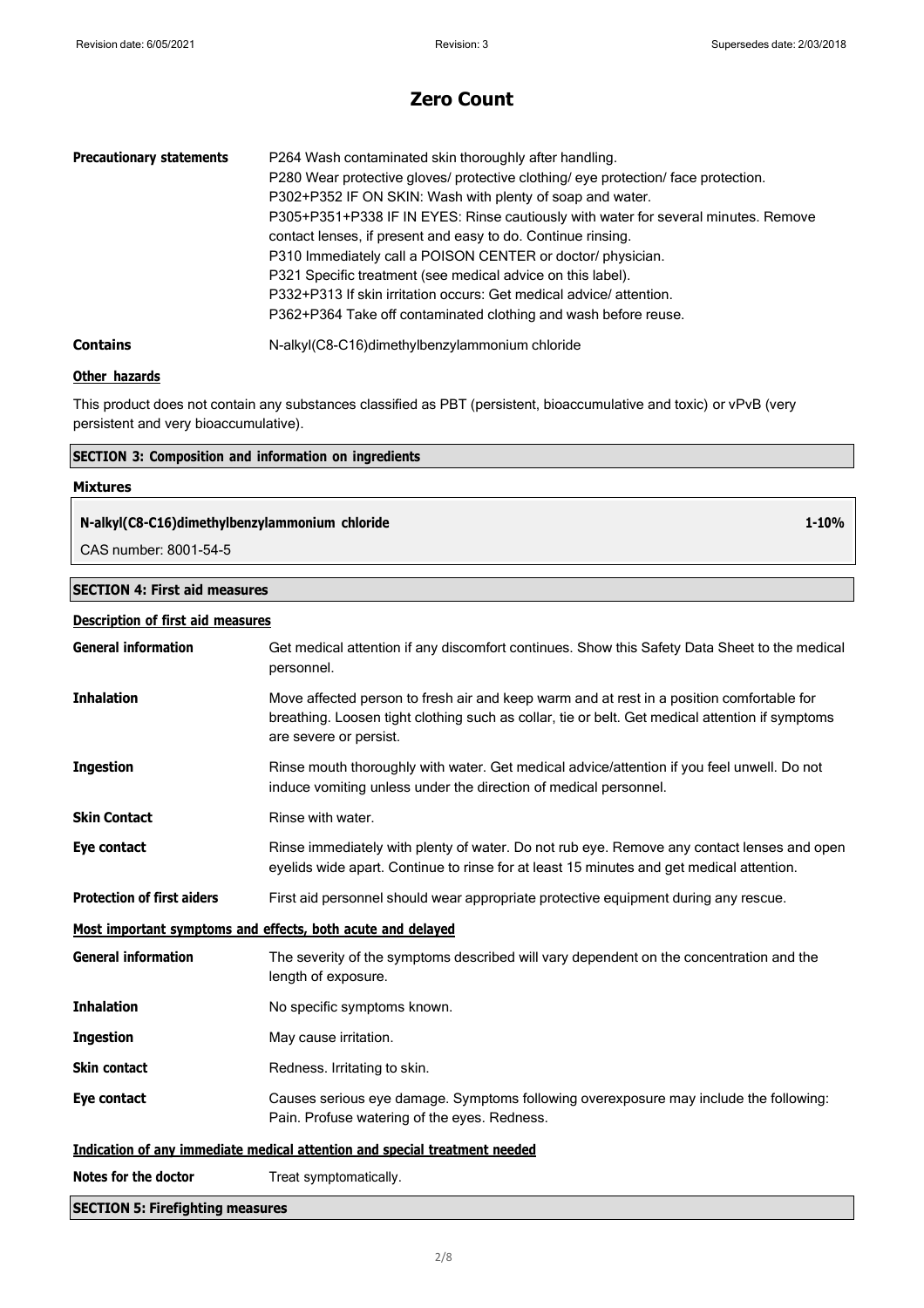| <b>Precautionary statements</b> | P264 Wash contaminated skin thoroughly after handling.<br>P280 Wear protective gloves/ protective clothing/ eye protection/ face protection.<br>P302+P352 IF ON SKIN: Wash with plenty of soap and water.<br>P305+P351+P338 IF IN EYES: Rinse cautiously with water for several minutes. Remove<br>contact lenses, if present and easy to do. Continue rinsing.<br>P310 Immediately call a POISON CENTER or doctor/ physician.<br>P321 Specific treatment (see medical advice on this label).<br>P332+P313 If skin irritation occurs: Get medical advice/attention.<br>P362+P364 Take off contaminated clothing and wash before reuse. |
|---------------------------------|----------------------------------------------------------------------------------------------------------------------------------------------------------------------------------------------------------------------------------------------------------------------------------------------------------------------------------------------------------------------------------------------------------------------------------------------------------------------------------------------------------------------------------------------------------------------------------------------------------------------------------------|
| <b>Contains</b>                 | N-alkyl(C8-C16)dimethylbenzylammonium chloride                                                                                                                                                                                                                                                                                                                                                                                                                                                                                                                                                                                         |

### **Other hazards**

This product does not contain any substances classified as PBT (persistent, bioaccumulative and toxic) or vPvB (very persistent and very bioaccumulative).

### **SECTION 3: Composition and information on ingredients**

# **Mixtures**

## **N-alkyl(C8-C16)dimethylbenzylammonium chloride**

CAS number: 8001-54-5

### **SECTION 4: First aid measures**

### **Description of first aid measures**

| <b>General information</b>                                                 | Get medical attention if any discomfort continues. Show this Safety Data Sheet to the medical<br>personnel.                                                                                                            |
|----------------------------------------------------------------------------|------------------------------------------------------------------------------------------------------------------------------------------------------------------------------------------------------------------------|
| <b>Inhalation</b>                                                          | Move affected person to fresh air and keep warm and at rest in a position comfortable for<br>breathing. Loosen tight clothing such as collar, tie or belt. Get medical attention if symptoms<br>are severe or persist. |
| <b>Ingestion</b>                                                           | Rinse mouth thoroughly with water. Get medical advice/attention if you feel unwell. Do not<br>induce vomiting unless under the direction of medical personnel.                                                         |
| <b>Skin Contact</b>                                                        | Rinse with water.                                                                                                                                                                                                      |
| Eye contact                                                                | Rinse immediately with plenty of water. Do not rub eye. Remove any contact lenses and open<br>eyelids wide apart. Continue to rinse for at least 15 minutes and get medical attention.                                 |
| <b>Protection of first aiders</b>                                          | First aid personnel should wear appropriate protective equipment during any rescue.                                                                                                                                    |
| Most important symptoms and effects, both acute and delayed                |                                                                                                                                                                                                                        |
| <b>General information</b>                                                 | The severity of the symptoms described will vary dependent on the concentration and the<br>length of exposure.                                                                                                         |
| <b>Inhalation</b>                                                          | No specific symptoms known.                                                                                                                                                                                            |
| <b>Ingestion</b>                                                           | May cause irritation.                                                                                                                                                                                                  |
| <b>Skin contact</b>                                                        | Redness. Irritating to skin.                                                                                                                                                                                           |
| Eye contact                                                                | Causes serious eye damage. Symptoms following overexposure may include the following:<br>Pain. Profuse watering of the eyes. Redness.                                                                                  |
| Indication of any immediate medical attention and special treatment needed |                                                                                                                                                                                                                        |
| Notes for the doctor                                                       | Treat symptomatically.                                                                                                                                                                                                 |
| <b>SECTION 5: Firefighting measures</b>                                    |                                                                                                                                                                                                                        |

**1-10%**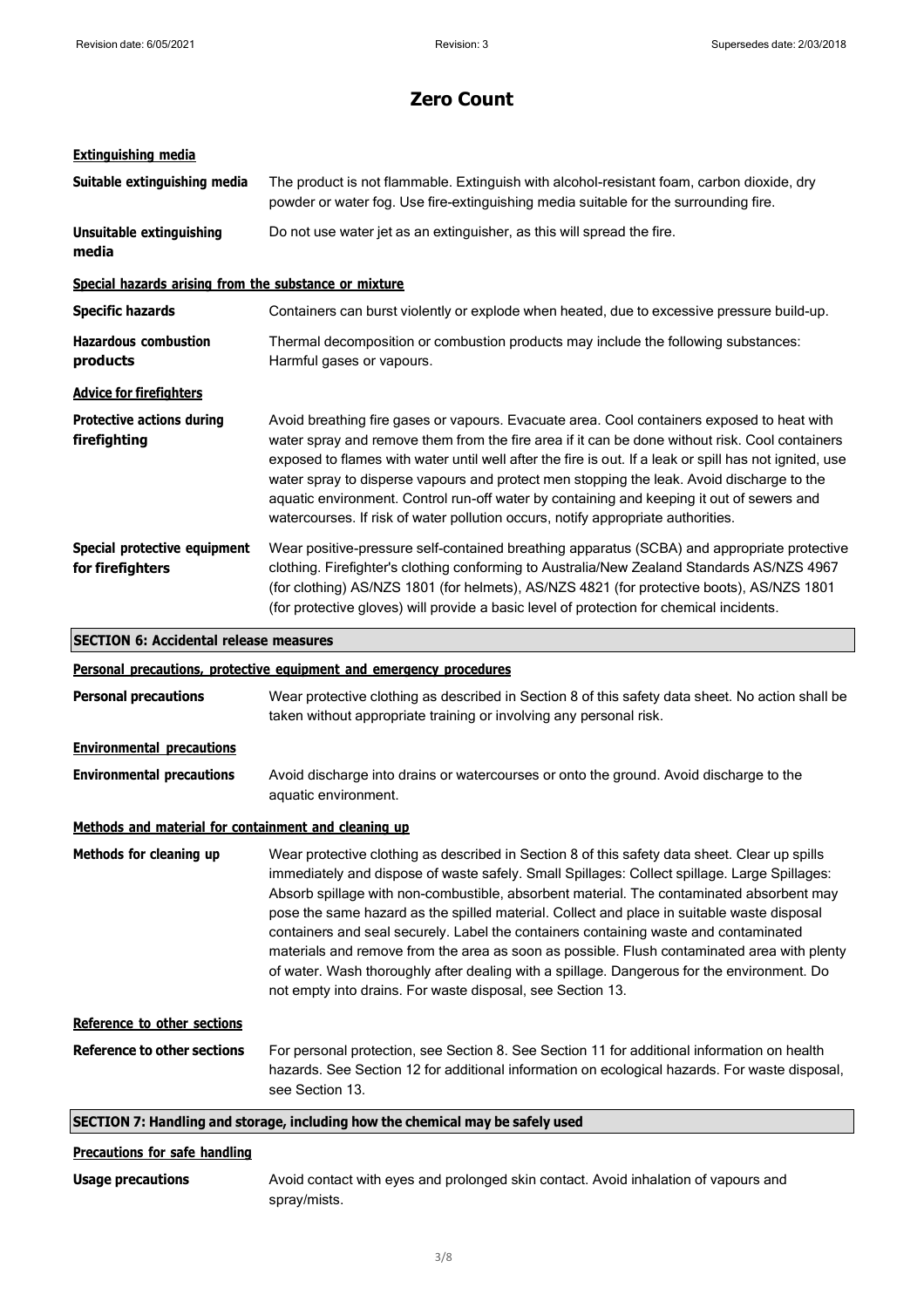# **Extinguishing media**

| Suitable extinguishing media                          | The product is not flammable. Extinguish with alcohol-resistant foam, carbon dioxide, dry<br>powder or water fog. Use fire-extinguishing media suitable for the surrounding fire.                                                                                                                                                                                                                                                                                                                                                                                                                                                                                                                                                          |
|-------------------------------------------------------|--------------------------------------------------------------------------------------------------------------------------------------------------------------------------------------------------------------------------------------------------------------------------------------------------------------------------------------------------------------------------------------------------------------------------------------------------------------------------------------------------------------------------------------------------------------------------------------------------------------------------------------------------------------------------------------------------------------------------------------------|
| <b>Unsuitable extinguishing</b><br>media              | Do not use water jet as an extinguisher, as this will spread the fire.                                                                                                                                                                                                                                                                                                                                                                                                                                                                                                                                                                                                                                                                     |
| Special hazards arising from the substance or mixture |                                                                                                                                                                                                                                                                                                                                                                                                                                                                                                                                                                                                                                                                                                                                            |
| <b>Specific hazards</b>                               | Containers can burst violently or explode when heated, due to excessive pressure build-up.                                                                                                                                                                                                                                                                                                                                                                                                                                                                                                                                                                                                                                                 |
| <b>Hazardous combustion</b><br>products               | Thermal decomposition or combustion products may include the following substances:<br>Harmful gases or vapours.                                                                                                                                                                                                                                                                                                                                                                                                                                                                                                                                                                                                                            |
| <b>Advice for firefighters</b>                        |                                                                                                                                                                                                                                                                                                                                                                                                                                                                                                                                                                                                                                                                                                                                            |
| <b>Protective actions during</b><br>firefighting      | Avoid breathing fire gases or vapours. Evacuate area. Cool containers exposed to heat with<br>water spray and remove them from the fire area if it can be done without risk. Cool containers<br>exposed to flames with water until well after the fire is out. If a leak or spill has not ignited, use<br>water spray to disperse vapours and protect men stopping the leak. Avoid discharge to the<br>aquatic environment. Control run-off water by containing and keeping it out of sewers and<br>watercourses. If risk of water pollution occurs, notify appropriate authorities.                                                                                                                                                       |
| Special protective equipment<br>for firefighters      | Wear positive-pressure self-contained breathing apparatus (SCBA) and appropriate protective<br>clothing. Firefighter's clothing conforming to Australia/New Zealand Standards AS/NZS 4967<br>(for clothing) AS/NZS 1801 (for helmets), AS/NZS 4821 (for protective boots), AS/NZS 1801<br>(for protective gloves) will provide a basic level of protection for chemical incidents.                                                                                                                                                                                                                                                                                                                                                         |
| <b>SECTION 6: Accidental release measures</b>         |                                                                                                                                                                                                                                                                                                                                                                                                                                                                                                                                                                                                                                                                                                                                            |
|                                                       | Personal precautions, protective equipment and emergency procedures                                                                                                                                                                                                                                                                                                                                                                                                                                                                                                                                                                                                                                                                        |
| <b>Personal precautions</b>                           | Wear protective clothing as described in Section 8 of this safety data sheet. No action shall be<br>taken without appropriate training or involving any personal risk.                                                                                                                                                                                                                                                                                                                                                                                                                                                                                                                                                                     |
| <b>Environmental precautions</b>                      |                                                                                                                                                                                                                                                                                                                                                                                                                                                                                                                                                                                                                                                                                                                                            |
| <b>Environmental precautions</b>                      | Avoid discharge into drains or watercourses or onto the ground. Avoid discharge to the<br>aquatic environment.                                                                                                                                                                                                                                                                                                                                                                                                                                                                                                                                                                                                                             |
| Methods and material for containment and cleaning up  |                                                                                                                                                                                                                                                                                                                                                                                                                                                                                                                                                                                                                                                                                                                                            |
| Methods for cleaning up                               | Wear protective clothing as described in Section 8 of this safety data sheet. Clear up spills<br>immediately and dispose of waste safely. Small Spillages: Collect spillage. Large Spillages:<br>Absorb spillage with non-combustible, absorbent material. The contaminated absorbent may<br>pose the same hazard as the spilled material. Collect and place in suitable waste disposal<br>containers and seal securely. Label the containers containing waste and contaminated<br>materials and remove from the area as soon as possible. Flush contaminated area with plenty<br>of water. Wash thoroughly after dealing with a spillage. Dangerous for the environment. Do<br>not empty into drains. For waste disposal, see Section 13. |
| Reference to other sections                           |                                                                                                                                                                                                                                                                                                                                                                                                                                                                                                                                                                                                                                                                                                                                            |
| <b>Reference to other sections</b>                    | For personal protection, see Section 8. See Section 11 for additional information on health<br>hazards. See Section 12 for additional information on ecological hazards. For waste disposal,<br>see Section 13.                                                                                                                                                                                                                                                                                                                                                                                                                                                                                                                            |
|                                                       | SECTION 7: Handling and storage, including how the chemical may be safely used                                                                                                                                                                                                                                                                                                                                                                                                                                                                                                                                                                                                                                                             |
| <b>Precautions for safe handling</b>                  |                                                                                                                                                                                                                                                                                                                                                                                                                                                                                                                                                                                                                                                                                                                                            |

**Usage precautions** Avoid contact with eyes and prolonged skin contact. Avoid inhalation of vapours and spray/mists.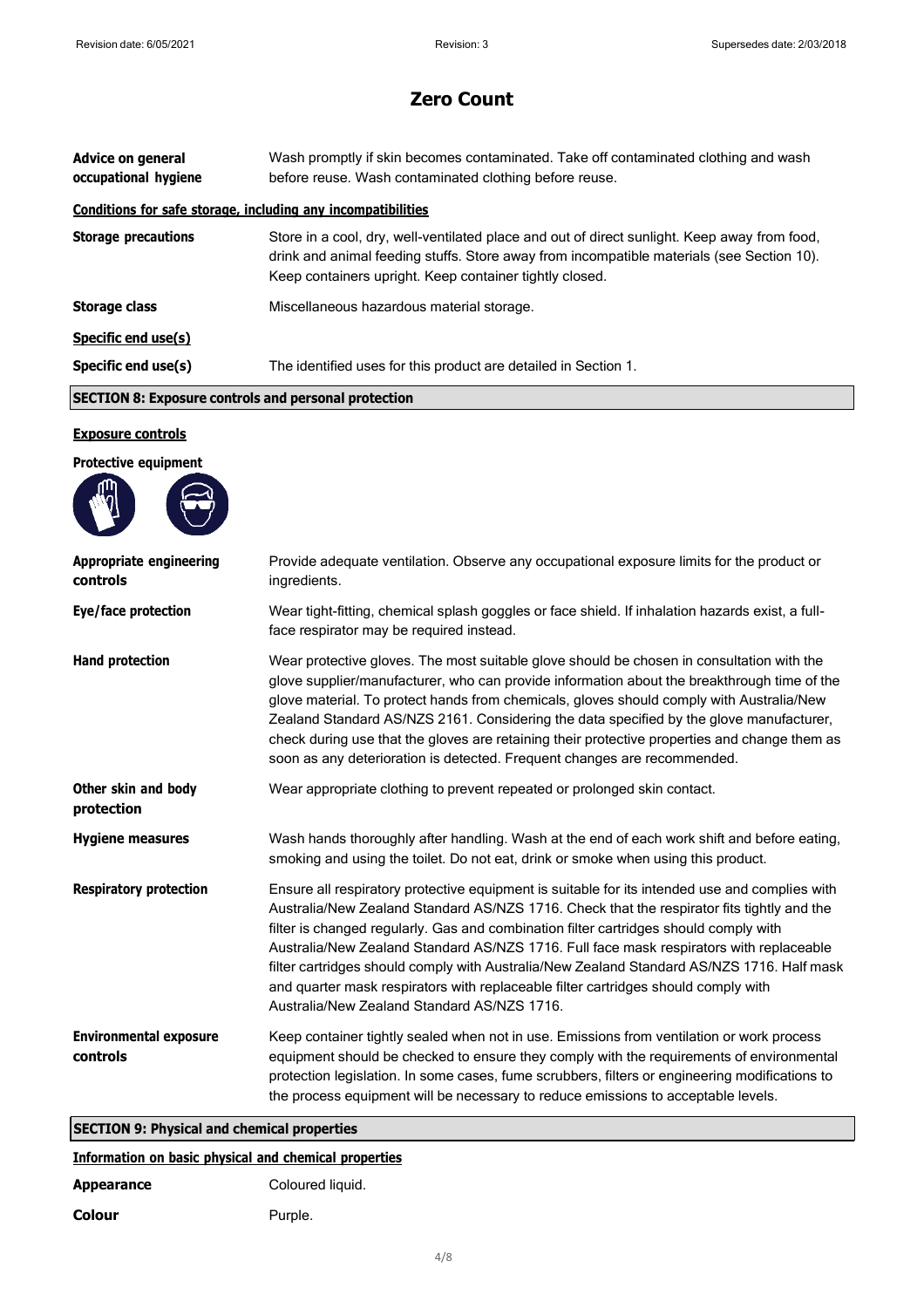| <b>Advice on general</b><br>occupational hygiene             | Wash promptly if skin becomes contaminated. Take off contaminated clothing and wash<br>before reuse. Wash contaminated clothing before reuse.                                                                                                        |  |
|--------------------------------------------------------------|------------------------------------------------------------------------------------------------------------------------------------------------------------------------------------------------------------------------------------------------------|--|
| Conditions for safe storage, including any incompatibilities |                                                                                                                                                                                                                                                      |  |
| <b>Storage precautions</b>                                   | Store in a cool, dry, well-ventilated place and out of direct sunlight. Keep away from food,<br>drink and animal feeding stuffs. Store away from incompatible materials (see Section 10).<br>Keep containers upright. Keep container tightly closed. |  |
| <b>Storage class</b>                                         | Miscellaneous hazardous material storage.                                                                                                                                                                                                            |  |
| Specific end use(s)                                          |                                                                                                                                                                                                                                                      |  |
| Specific end use(s)                                          | The identified uses for this product are detailed in Section 1.                                                                                                                                                                                      |  |
|                                                              | <b>SECTION 8: Exposure controls and personal protection</b>                                                                                                                                                                                          |  |
|                                                              |                                                                                                                                                                                                                                                      |  |
| <b>Exposure controls</b>                                     |                                                                                                                                                                                                                                                      |  |
| <b>Protective equipment</b>                                  |                                                                                                                                                                                                                                                      |  |
| <b>Appropriate engineering</b><br>controls                   | Provide adequate ventilation. Observe any occupational exposure limits for the product or<br>ingredients.                                                                                                                                            |  |

| <b>Appropriate engineering</b><br>controls | Provide adequate ventilation. Observe any occupational exposure limits for the product or<br>ingredients.                                                                                                                                                                                                                                                                                                                                                                                                                                                                                                           |
|--------------------------------------------|---------------------------------------------------------------------------------------------------------------------------------------------------------------------------------------------------------------------------------------------------------------------------------------------------------------------------------------------------------------------------------------------------------------------------------------------------------------------------------------------------------------------------------------------------------------------------------------------------------------------|
| Eye/face protection                        | Wear tight-fitting, chemical splash goggles or face shield. If inhalation hazards exist, a full-<br>face respirator may be required instead.                                                                                                                                                                                                                                                                                                                                                                                                                                                                        |
| <b>Hand protection</b>                     | Wear protective gloves. The most suitable glove should be chosen in consultation with the<br>glove supplier/manufacturer, who can provide information about the breakthrough time of the<br>glove material. To protect hands from chemicals, gloves should comply with Australia/New<br>Zealand Standard AS/NZS 2161. Considering the data specified by the glove manufacturer,<br>check during use that the gloves are retaining their protective properties and change them as<br>soon as any deterioration is detected. Frequent changes are recommended.                                                        |
| Other skin and body<br>protection          | Wear appropriate clothing to prevent repeated or prolonged skin contact.                                                                                                                                                                                                                                                                                                                                                                                                                                                                                                                                            |
| <b>Hygiene measures</b>                    | Wash hands thoroughly after handling. Wash at the end of each work shift and before eating,<br>smoking and using the toilet. Do not eat, drink or smoke when using this product.                                                                                                                                                                                                                                                                                                                                                                                                                                    |
| <b>Respiratory protection</b>              | Ensure all respiratory protective equipment is suitable for its intended use and complies with<br>Australia/New Zealand Standard AS/NZS 1716. Check that the respirator fits tightly and the<br>filter is changed regularly. Gas and combination filter cartridges should comply with<br>Australia/New Zealand Standard AS/NZS 1716. Full face mask respirators with replaceable<br>filter cartridges should comply with Australia/New Zealand Standard AS/NZS 1716. Half mask<br>and quarter mask respirators with replaceable filter cartridges should comply with<br>Australia/New Zealand Standard AS/NZS 1716. |
| <b>Environmental exposure</b><br>controls  | Keep container tightly sealed when not in use. Emissions from ventilation or work process<br>equipment should be checked to ensure they comply with the requirements of environmental<br>protection legislation. In some cases, fume scrubbers, filters or engineering modifications to<br>the process equipment will be necessary to reduce emissions to acceptable levels.                                                                                                                                                                                                                                        |

**SECTION 9: Physical and chemical properties**

# **Information on basic physical and chemical properties**

| <b>Appearance</b> | Coloured liquid. |
|-------------------|------------------|
| <b>Colour</b>     | Purple.          |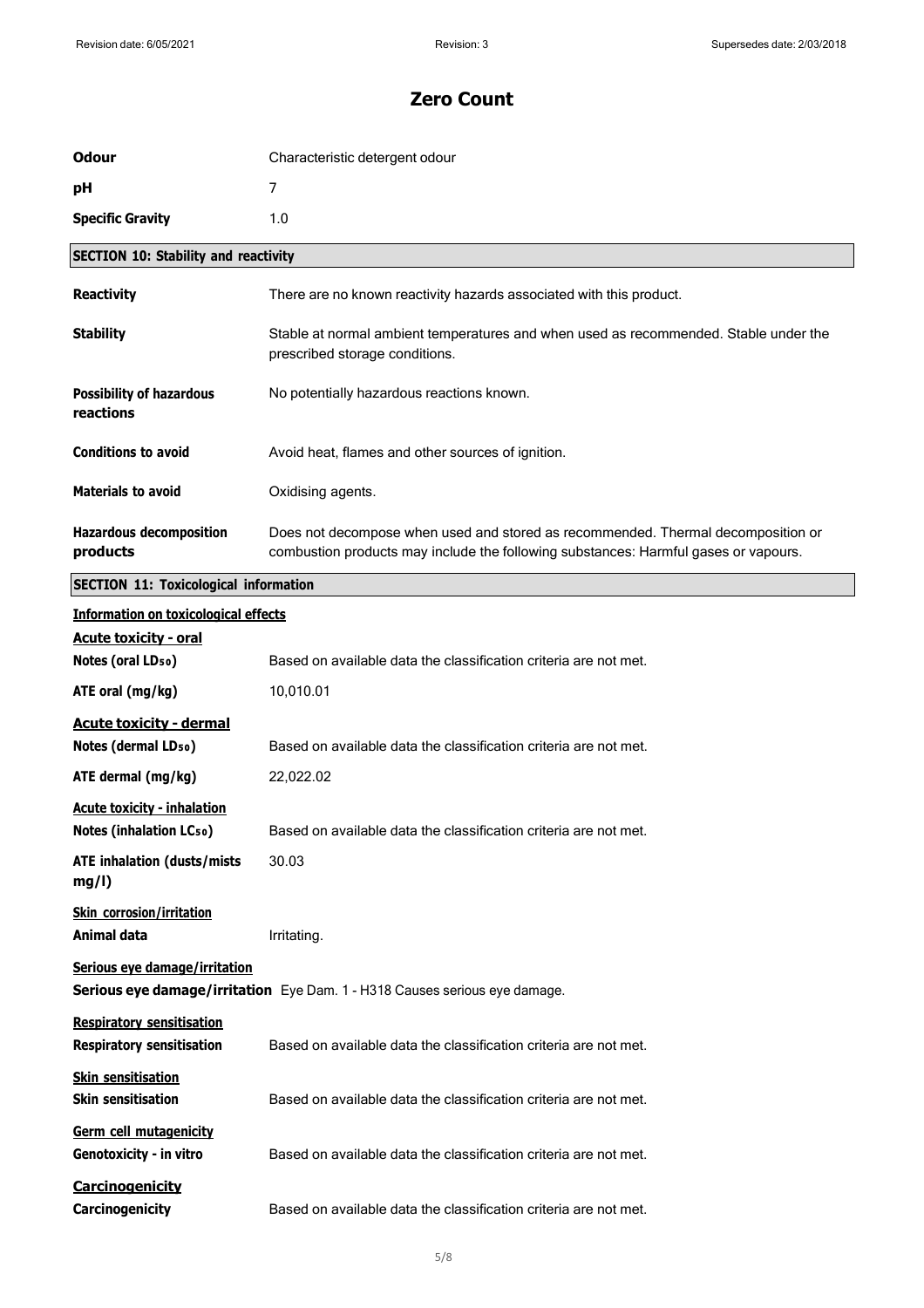| <b>Odour</b>                                                                                                | Characteristic detergent odour                                                                                                                                          |
|-------------------------------------------------------------------------------------------------------------|-------------------------------------------------------------------------------------------------------------------------------------------------------------------------|
| рH                                                                                                          | $\overline{7}$                                                                                                                                                          |
| <b>Specific Gravity</b>                                                                                     | 1.0                                                                                                                                                                     |
| <b>SECTION 10: Stability and reactivity</b>                                                                 |                                                                                                                                                                         |
| <b>Reactivity</b>                                                                                           | There are no known reactivity hazards associated with this product.                                                                                                     |
| <b>Stability</b>                                                                                            | Stable at normal ambient temperatures and when used as recommended. Stable under the<br>prescribed storage conditions.                                                  |
| <b>Possibility of hazardous</b><br>reactions                                                                | No potentially hazardous reactions known.                                                                                                                               |
| <b>Conditions to avoid</b>                                                                                  | Avoid heat, flames and other sources of ignition.                                                                                                                       |
| <b>Materials to avoid</b>                                                                                   | Oxidising agents.                                                                                                                                                       |
| <b>Hazardous decomposition</b><br>products                                                                  | Does not decompose when used and stored as recommended. Thermal decomposition or<br>combustion products may include the following substances: Harmful gases or vapours. |
| <b>SECTION 11: Toxicological information</b>                                                                |                                                                                                                                                                         |
| <b>Information on toxicological effects</b>                                                                 |                                                                                                                                                                         |
| <b>Acute toxicity - oral</b><br>Notes (oral LD <sub>50</sub> )                                              | Based on available data the classification criteria are not met.                                                                                                        |
| ATE oral (mg/kg)                                                                                            | 10,010.01                                                                                                                                                               |
| <b>Acute toxicity - dermal</b><br>Notes (dermal LD <sub>50</sub> )                                          | Based on available data the classification criteria are not met.                                                                                                        |
| ATE dermal (mg/kg)                                                                                          | 22,022.02                                                                                                                                                               |
| <b>Acute toxicity - inhalation</b><br>Notes (inhalation LCso)                                               | Based on available data the classification criteria are not met.                                                                                                        |
| <b>ATE inhalation (dusts/mists</b><br>mg/l)                                                                 | 30.03                                                                                                                                                                   |
| <b>Skin corrosion/irritation</b><br>Animal data                                                             | Irritating.                                                                                                                                                             |
| Serious eye damage/irritation<br>Serious eye damage/irritation Eye Dam. 1 - H318 Causes serious eye damage. |                                                                                                                                                                         |
| <b>Respiratory sensitisation</b><br><b>Respiratory sensitisation</b>                                        | Based on available data the classification criteria are not met.                                                                                                        |
| <b>Skin sensitisation</b><br><b>Skin sensitisation</b>                                                      | Based on available data the classification criteria are not met.                                                                                                        |
| Germ cell mutagenicity<br>Genotoxicity - in vitro                                                           | Based on available data the classification criteria are not met.                                                                                                        |
| Carcinogenicity<br>Carcinogenicity                                                                          | Based on available data the classification criteria are not met.                                                                                                        |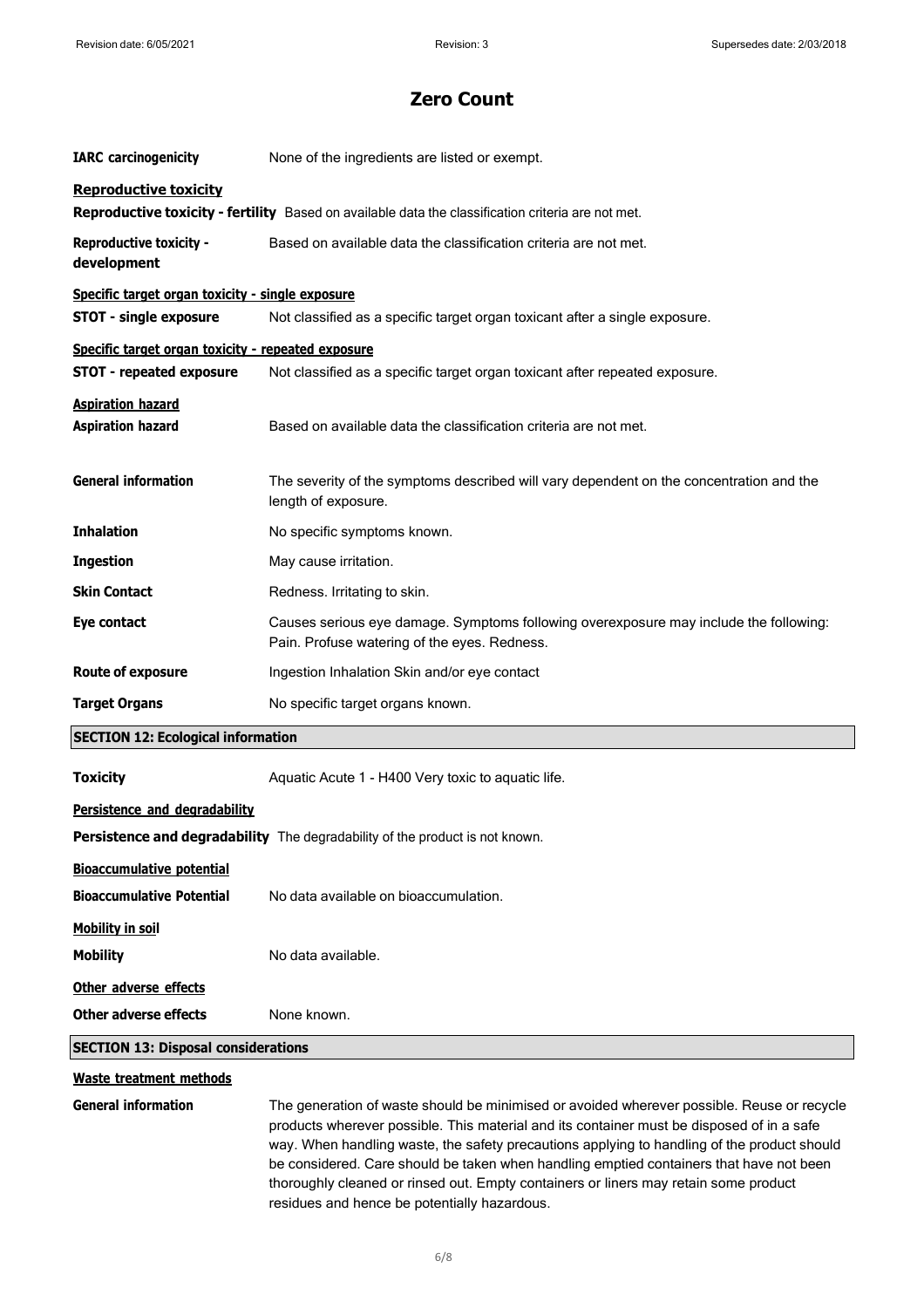| <b>IARC</b> carcinogenicity                          | None of the ingredients are listed or exempt.                                                                                                                                                                                                                                                                                                                                                                                                                             |
|------------------------------------------------------|---------------------------------------------------------------------------------------------------------------------------------------------------------------------------------------------------------------------------------------------------------------------------------------------------------------------------------------------------------------------------------------------------------------------------------------------------------------------------|
| <b>Reproductive toxicity</b>                         | Reproductive toxicity - fertility Based on available data the classification criteria are not met.                                                                                                                                                                                                                                                                                                                                                                        |
| <b>Reproductive toxicity -</b><br>development        | Based on available data the classification criteria are not met.                                                                                                                                                                                                                                                                                                                                                                                                          |
| Specific target organ toxicity - single exposure     |                                                                                                                                                                                                                                                                                                                                                                                                                                                                           |
| <b>STOT - single exposure</b>                        | Not classified as a specific target organ toxicant after a single exposure.                                                                                                                                                                                                                                                                                                                                                                                               |
| Specific target organ toxicity - repeated exposure   |                                                                                                                                                                                                                                                                                                                                                                                                                                                                           |
| <b>STOT - repeated exposure</b>                      | Not classified as a specific target organ toxicant after repeated exposure.                                                                                                                                                                                                                                                                                                                                                                                               |
| <b>Aspiration hazard</b><br><b>Aspiration hazard</b> | Based on available data the classification criteria are not met.                                                                                                                                                                                                                                                                                                                                                                                                          |
| <b>General information</b>                           | The severity of the symptoms described will vary dependent on the concentration and the<br>length of exposure.                                                                                                                                                                                                                                                                                                                                                            |
| <b>Inhalation</b>                                    | No specific symptoms known.                                                                                                                                                                                                                                                                                                                                                                                                                                               |
| <b>Ingestion</b>                                     | May cause irritation.                                                                                                                                                                                                                                                                                                                                                                                                                                                     |
| <b>Skin Contact</b>                                  | Redness. Irritating to skin.                                                                                                                                                                                                                                                                                                                                                                                                                                              |
| Eye contact                                          | Causes serious eye damage. Symptoms following overexposure may include the following:<br>Pain. Profuse watering of the eyes. Redness.                                                                                                                                                                                                                                                                                                                                     |
| <b>Route of exposure</b>                             | Ingestion Inhalation Skin and/or eye contact                                                                                                                                                                                                                                                                                                                                                                                                                              |
| <b>Target Organs</b>                                 | No specific target organs known.                                                                                                                                                                                                                                                                                                                                                                                                                                          |
| <b>SECTION 12: Ecological information</b>            |                                                                                                                                                                                                                                                                                                                                                                                                                                                                           |
| <b>Toxicity</b>                                      | Aquatic Acute 1 - H400 Very toxic to aquatic life.                                                                                                                                                                                                                                                                                                                                                                                                                        |
| Persistence and degradability                        |                                                                                                                                                                                                                                                                                                                                                                                                                                                                           |
|                                                      | <b>Persistence and degradability</b> The degradability of the product is not known.                                                                                                                                                                                                                                                                                                                                                                                       |
| <b>Bioaccumulative potential</b>                     |                                                                                                                                                                                                                                                                                                                                                                                                                                                                           |
| <b>Bioaccumulative Potential</b>                     | No data available on bioaccumulation.                                                                                                                                                                                                                                                                                                                                                                                                                                     |
| <b>Mobility in soil</b>                              |                                                                                                                                                                                                                                                                                                                                                                                                                                                                           |
| <b>Mobility</b>                                      | No data available.                                                                                                                                                                                                                                                                                                                                                                                                                                                        |
| Other adverse effects                                |                                                                                                                                                                                                                                                                                                                                                                                                                                                                           |
| Other adverse effects                                | None known.                                                                                                                                                                                                                                                                                                                                                                                                                                                               |
| <b>SECTION 13: Disposal considerations</b>           |                                                                                                                                                                                                                                                                                                                                                                                                                                                                           |
| Waste treatment methods                              |                                                                                                                                                                                                                                                                                                                                                                                                                                                                           |
| <b>General information</b>                           | The generation of waste should be minimised or avoided wherever possible. Reuse or recycle<br>products wherever possible. This material and its container must be disposed of in a safe<br>way. When handling waste, the safety precautions applying to handling of the product should<br>be considered. Care should be taken when handling emptied containers that have not been<br>thoroughly cleaned or rinsed out. Empty containers or liners may retain some product |

residues and hence be potentially hazardous.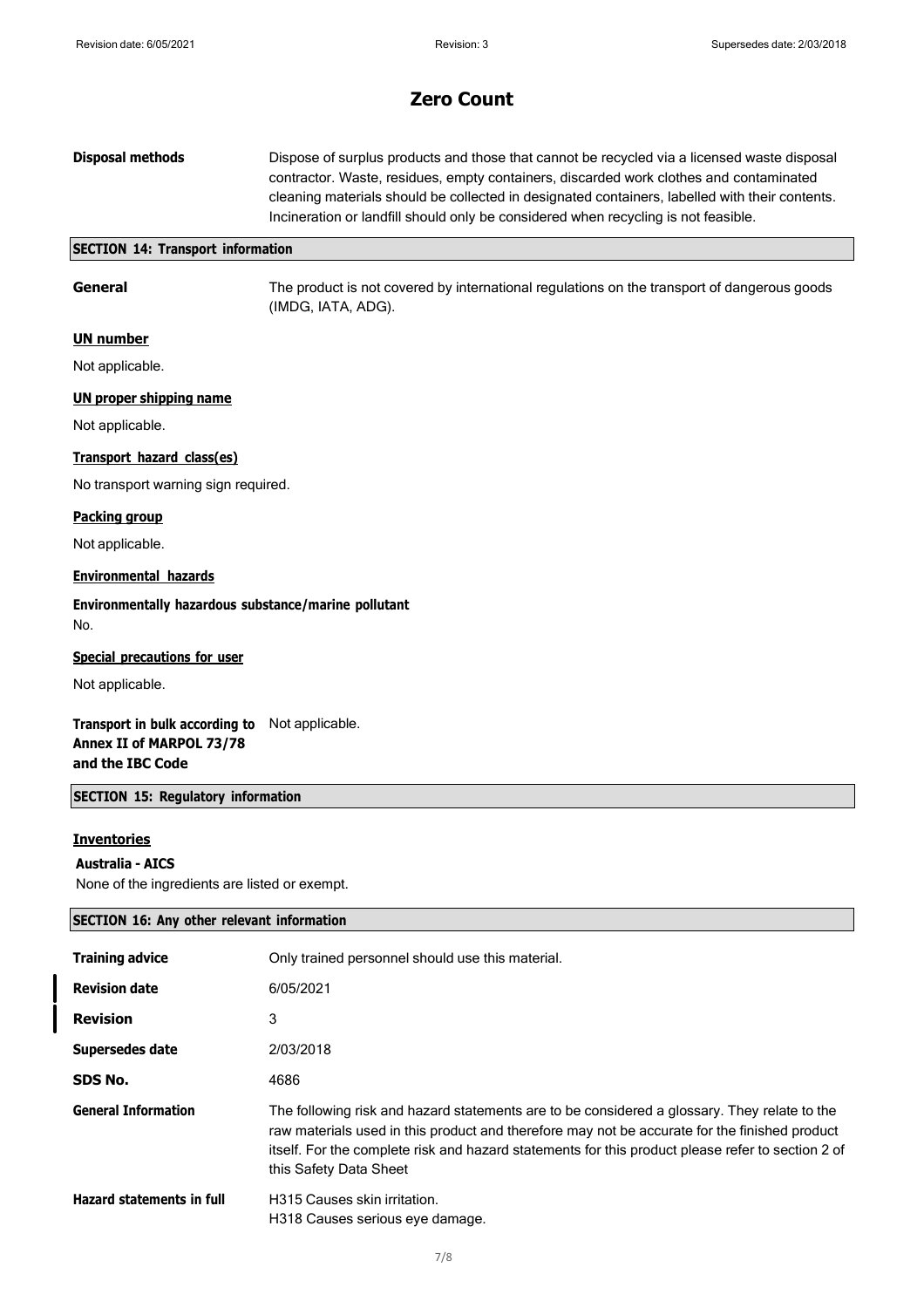| <b>Disposal methods</b> | Dispose of surplus products and those that cannot be recycled via a licensed waste disposal    |
|-------------------------|------------------------------------------------------------------------------------------------|
|                         | contractor. Waste, residues, empty containers, discarded work clothes and contaminated         |
|                         | cleaning materials should be collected in designated containers, labelled with their contents. |
|                         | Incineration or landfill should only be considered when recycling is not feasible.             |
|                         |                                                                                                |

#### **SECTION 14: Transport information**

**General** The product is not covered by international regulations on the transport of dangerous goods (IMDG, IATA, ADG).

### **UN number**

Not applicable.

### **UN proper shipping name**

Not applicable.

#### **Transport hazard class(es)**

No transport warning sign required.

#### **Packing group**

Not applicable.

### **Environmental hazards**

**Environmentally hazardous substance/marine pollutant** No.

#### **Special precautions for user**

Not applicable.

**Transport in bulk according to** Not applicable. **Annex II of MARPOL 73/78 and the IBC Code**

### **SECTION 15: Regulatory information**

### **Inventories**

#### **Australia - AICS**

None of the ingredients are listed or exempt.

# **SECTION 16: Any other relevant information**

| <b>Training advice</b>           | Only trained personnel should use this material.                                                                                                                                                                                                                                                                             |
|----------------------------------|------------------------------------------------------------------------------------------------------------------------------------------------------------------------------------------------------------------------------------------------------------------------------------------------------------------------------|
| <b>Revision date</b>             | 6/05/2021                                                                                                                                                                                                                                                                                                                    |
| <b>Revision</b>                  | 3                                                                                                                                                                                                                                                                                                                            |
| Supersedes date                  | 2/03/2018                                                                                                                                                                                                                                                                                                                    |
| SDS No.                          | 4686                                                                                                                                                                                                                                                                                                                         |
| <b>General Information</b>       | The following risk and hazard statements are to be considered a glossary. They relate to the<br>raw materials used in this product and therefore may not be accurate for the finished product<br>itself. For the complete risk and hazard statements for this product please refer to section 2 of<br>this Safety Data Sheet |
| <b>Hazard statements in full</b> | H315 Causes skin irritation.<br>H318 Causes serious eye damage.                                                                                                                                                                                                                                                              |